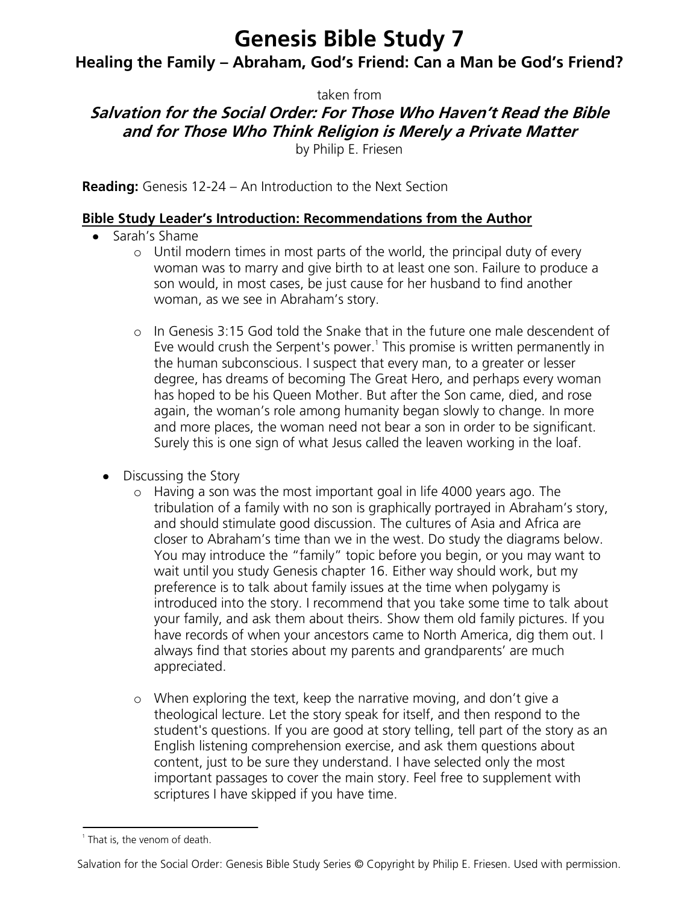# **Genesis Bible Study 7**

**Healing the Family – Abraham, God's Friend: Can a Man be God's Friend?**

taken from

# **Salvation for the Social Order: For Those Who Haven't Read the Bible and for Those Who Think Religion is Merely a Private Matter**

by Philip E. Friesen

**Reading:** Genesis 12-24 – An Introduction to the Next Section

#### **Bible Study Leader's Introduction: Recommendations from the Author**

- Sarah's Shame
	- o Until modern times in most parts of the world, the principal duty of every woman was to marry and give birth to at least one son. Failure to produce a son would, in most cases, be just cause for her husband to find another woman, as we see in Abraham's story.
	- o In Genesis 3:15 God told the Snake that in the future one male descendent of Eve would crush the Serpent's power.<sup>1</sup> This promise is written permanently in the human subconscious. I suspect that every man, to a greater or lesser degree, has dreams of becoming The Great Hero, and perhaps every woman has hoped to be his Queen Mother. But after the Son came, died, and rose again, the woman's role among humanity began slowly to change. In more and more places, the woman need not bear a son in order to be significant. Surely this is one sign of what Jesus called the leaven working in the loaf.
	- Discussing the Story
		- o Having a son was the most important goal in life 4000 years ago. The tribulation of a family with no son is graphically portrayed in Abraham's story, and should stimulate good discussion. The cultures of Asia and Africa are closer to Abraham's time than we in the west. Do study the diagrams below. You may introduce the "family" topic before you begin, or you may want to wait until you study Genesis chapter 16. Either way should work, but my preference is to talk about family issues at the time when polygamy is introduced into the story. I recommend that you take some time to talk about your family, and ask them about theirs. Show them old family pictures. If you have records of when your ancestors came to North America, dig them out. I always find that stories about my parents and grandparents' are much appreciated.
		- o When exploring the text, keep the narrative moving, and don't give a theological lecture. Let the story speak for itself, and then respond to the student's questions. If you are good at story telling, tell part of the story as an English listening comprehension exercise, and ask them questions about content, just to be sure they understand. I have selected only the most important passages to cover the main story. Feel free to supplement with scriptures I have skipped if you have time.

<sup>&</sup>lt;sup>1</sup> That is, the venom of death.

Salvation for the Social Order: Genesis Bible Study Series © Copyright by Philip E. Friesen. Used with permission.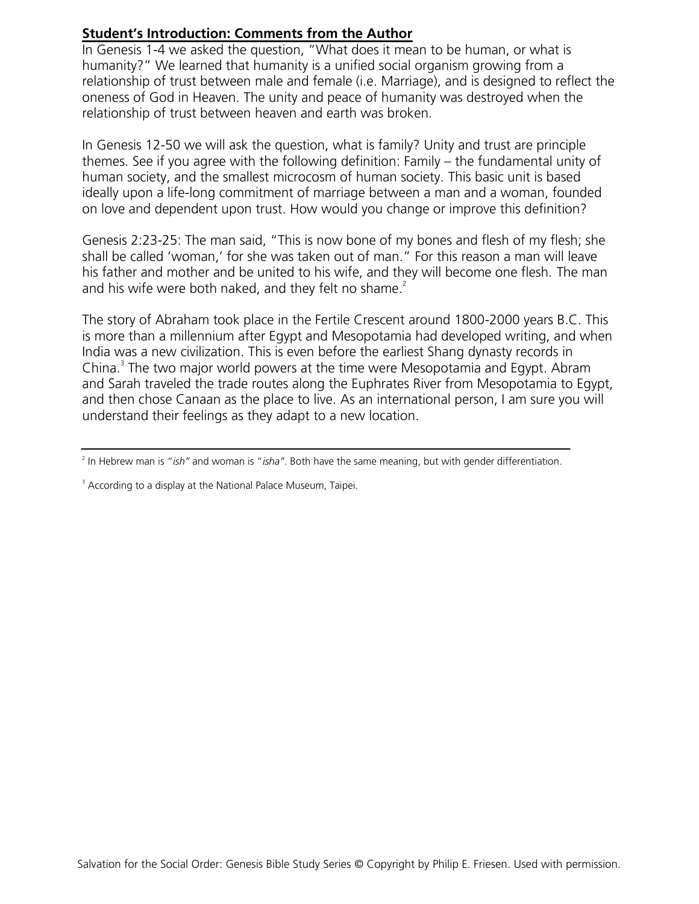#### **Student's Introduction: Comments from the Author**

In Genesis 1-4 we asked the question, "What does it mean to be human, or what is humanity?" We learned that humanity is a unified social organism growing from a relationship of trust between male and female (i.e. Marriage), and is designed to reflect the oneness of God in Heaven. The unity and peace of humanity was destroyed when the relationship of trust between heaven and earth was broken.

In Genesis 12-50 we will ask the question, what is family? Unity and trust are principle themes. See if you agree with the following definition: Family – the fundamental unity of human society, and the smallest microcosm of human society. This basic unit is based ideally upon a life-long commitment of marriage between a man and a woman, founded on love and dependent upon trust. How would you change or improve this definition?

Genesis 2:23-25: The man said, "This is now bone of my bones and flesh of my flesh; she shall be called 'woman,' for she was taken out of man." For this reason a man will leave his father and mother and be united to his wife, and they will become one flesh. The man and his wife were both naked, and they felt no shame. $2$ 

The story of Abraham took place in the Fertile Crescent around 1800-2000 years B.C. This is more than a millennium after Egypt and Mesopotamia had developed writing, and when India was a new civilization. This is even before the earliest Shang dynasty records in China.<sup>3</sup> The two major world powers at the time were Mesopotamia and Egypt. Abram and Sarah traveled the trade routes along the Euphrates River from Mesopotamia to Egypt, and then chose Canaan as the place to live. As an international person, I am sure you will understand their feelings as they adapt to a new location.

<sup>2</sup> In Hebrew man is "*ish"* and woman is "*isha"*. Both have the same meaning, but with gender differentiation.

<sup>&</sup>lt;sup>3</sup> According to a display at the National Palace Museum, Taipei.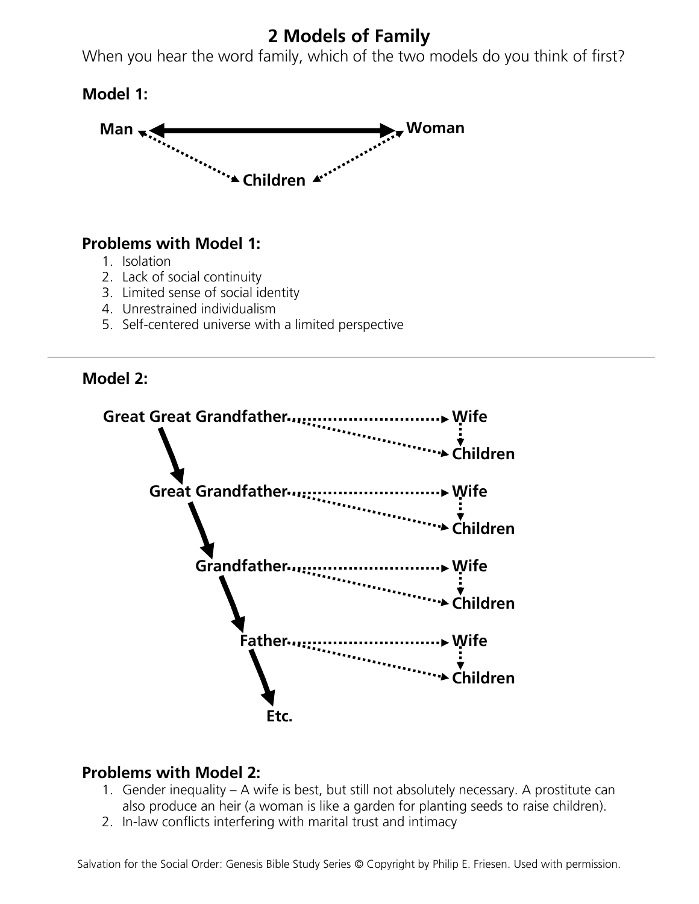# **2 Models of Family**

When you hear the word family, which of the two models do you think of first?

**Model 1:**



### **Problems with Model 1:**

- 1. Isolation
- 2. Lack of social continuity
- 3. Limited sense of social identity
- 4. Unrestrained individualism
- 5. Self-centered universe with a limited perspective





### **Problems with Model 2:**

- 1. Gender inequality A wife is best, but still not absolutely necessary. A prostitute can also produce an heir (a woman is like a garden for planting seeds to raise children).
- 2. In-law conflicts interfering with marital trust and intimacy

Salvation for the Social Order: Genesis Bible Study Series © Copyright by Philip E. Friesen. Used with permission.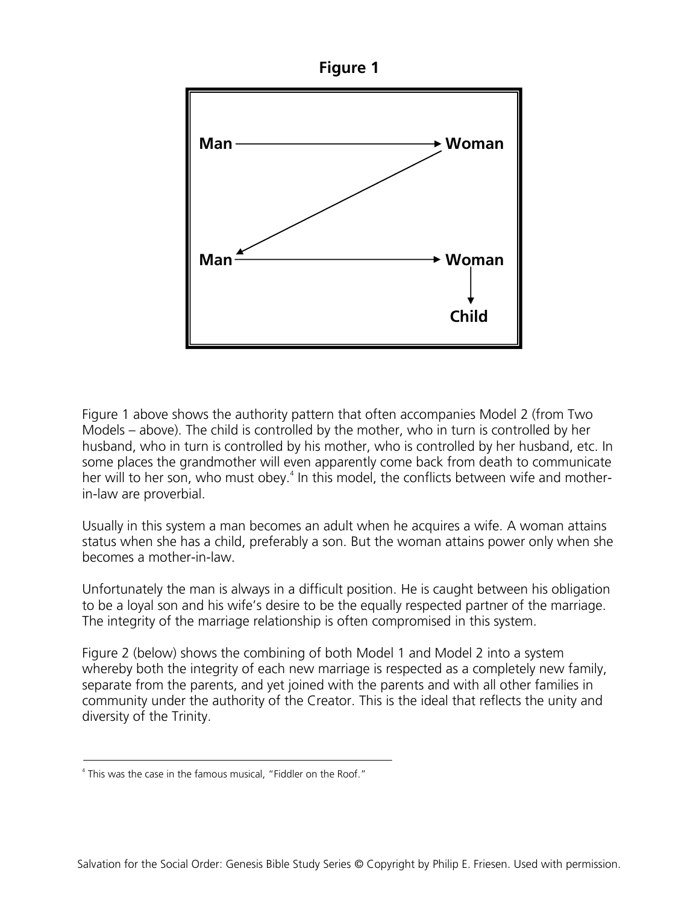



Figure 1 above shows the authority pattern that often accompanies Model 2 (from Two Models – above). The child is controlled by the mother, who in turn is controlled by her husband, who in turn is controlled by his mother, who is controlled by her husband, etc. In some places the grandmother will even apparently come back from death to communicate her will to her son, who must obey.<sup>4</sup> In this model, the conflicts between wife and motherin-law are proverbial.

Usually in this system a man becomes an adult when he acquires a wife. A woman attains status when she has a child, preferably a son. But the woman attains power only when she becomes a mother-in-law.

Unfortunately the man is always in a difficult position. He is caught between his obligation to be a loyal son and his wife's desire to be the equally respected partner of the marriage. The integrity of the marriage relationship is often compromised in this system.

Figure 2 (below) shows the combining of both Model 1 and Model 2 into a system whereby both the integrity of each new marriage is respected as a completely new family, separate from the parents, and yet joined with the parents and with all other families in community under the authority of the Creator. This is the ideal that reflects the unity and diversity of the Trinity.

<sup>&</sup>lt;sup>4</sup> This was the case in the famous musical, "Fiddler on the Roof."